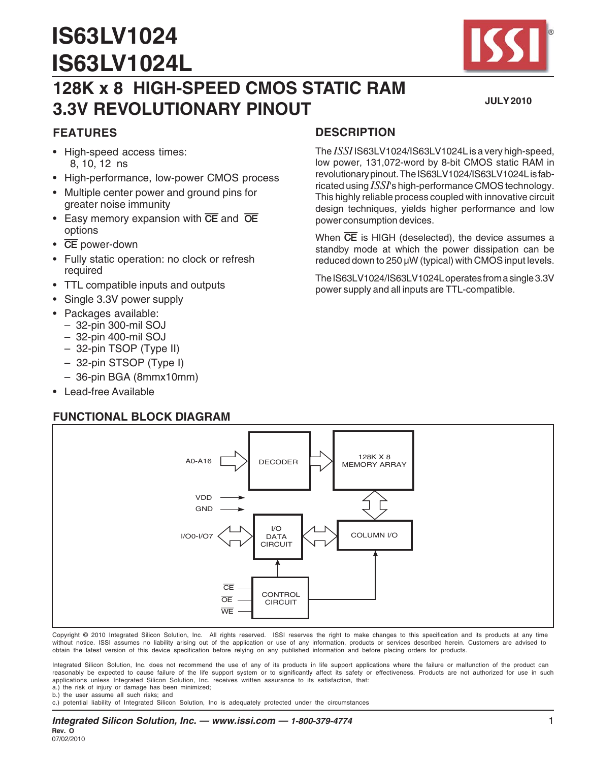# **IS63LV1024 IS63LV1024L**



#### **JULY 2010**

# **128K x 8 HIGH-SPEED CMOS STATIC RAM 3.3V REVOLUTIONARY PINOUT**

## **FEATURES**

- High-speed access times: 8, 10, 12 ns
- High-performance, low-power CMOS process
- Multiple center power and ground pins for greater noise immunity
- Easy memory expansion with **CE** and **OE** options
- **CE** power-down
- Fully static operation: no clock or refresh required
- TTL compatible inputs and outputs
- Single 3.3V power supply
- Packages available:
	- 32-pin 300-mil SOJ
	- 32-pin 400-mil SOJ
	- 32-pin TSOP (Type II)
	- 32-pin STSOP (Type I)
	- 36-pin BGA (8mmx10mm)
- Lead-free Available

#### **FUNCTIONAL BLOCK DIAGRAM**

## **DESCRIPTION**

The *ISSI* IS63LV1024/IS63LV1024L is a very high-speed, low power, 131,072-word by 8-bit CMOS static RAM in revolutionary pinout. The IS63LV1024/IS63LV1024L is fabricated using *ISSI*'s high-performance CMOS technology. This highly reliable process coupled with innovative circuit design techniques, yields higher performance and low power consumption devices.

When **CE** is HIGH (deselected), the device assumes a standby mode at which the power dissipation can be reduced down to 250 µW (typical) with CMOS input levels.

The IS63LV1024/IS63LV1024L operates from a single 3.3V power supply and all inputs are TTL-compatible.



Copyright © 2010 Integrated Silicon Solution, Inc. All rights reserved. ISSI reserves the right to make changes to this specification and its products at any time without notice. ISSI assumes no liability arising out of the application or use of any information, products or services described herein. Customers are advised to obtain the latest version of this device specification before relying on any published information and before placing orders for products.

Integrated Silicon Solution, Inc. does not recommend the use of any of its products in life support applications where the failure or malfunction of the product can reasonably be expected to cause failure of the life support system or to significantly affect its safety or effectiveness. Products are not authorized for use in such applications unless Integrated Silicon Solution, Inc. receives written assurance to its satisfaction, that: a.) the risk of injury or damage has been minimized;

b.) the user assume all such risks; and

c.) potential liability of Integrated Silicon Solution, Inc is adequately protected under the circumstances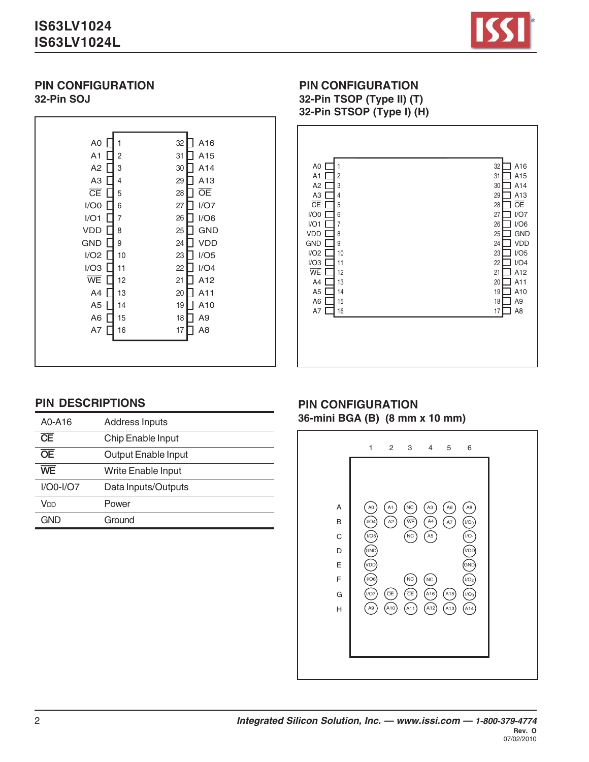# **IS63LV1024 IS63LV1024L**



#### **PIN CONFIGURATION 32-Pin SOJ**

| A <sub>0</sub>         | A16<br>32      |
|------------------------|----------------|
| A <sub>1</sub>         | 31             |
| 2                      | A15            |
| A <sub>2</sub>         | A14            |
| 3                      | 30             |
| A <sub>3</sub>         | A13            |
| 4                      | 29             |
| $\overline{\text{CE}}$ | <b>OE</b>      |
| 5                      | 28             |
| I/OO                   | I/O7           |
| 6                      | 27             |
| I/O1                   | I/O6           |
| 7                      | 26             |
| VDD                    | <b>GND</b>     |
| 8                      | 25             |
| <b>GND</b>             | <b>VDD</b>     |
| 9                      | 24             |
| I/O2                   | I/O5           |
| 10                     | 23             |
| I/O3                   | I/O4           |
| 11                     | 22             |
| WE                     | A12            |
| 12                     | 21             |
| A4                     | 20             |
| 13                     | A11            |
| A <sub>5</sub>         | 19             |
| 14                     | A10            |
| A <sub>6</sub>         | A9             |
| 15                     | 18             |
| A7                     | A <sub>8</sub> |
| 16                     | 17             |
|                        |                |
|                        |                |

# **PIN CONFIGURATION**

**32-Pin TSOP (Type II) (T)**



# **PIN DESCRIPTIONS**

| A0-A16                 | <b>Address Inputs</b>     |
|------------------------|---------------------------|
| $\overline{\text{CE}}$ | <b>Chip Enable Input</b>  |
| $\overline{OE}$        | Output Enable Input       |
| WF                     | <b>Write Enable Input</b> |
| $I/OO-I/O7$            | Data Inputs/Outputs       |
| <b>V<sub>DD</sub></b>  | Power                     |
| GND                    | Ground                    |

#### **PIN CONFIGURATION 36-mini BGA (B) (8 mm x 10 mm)**

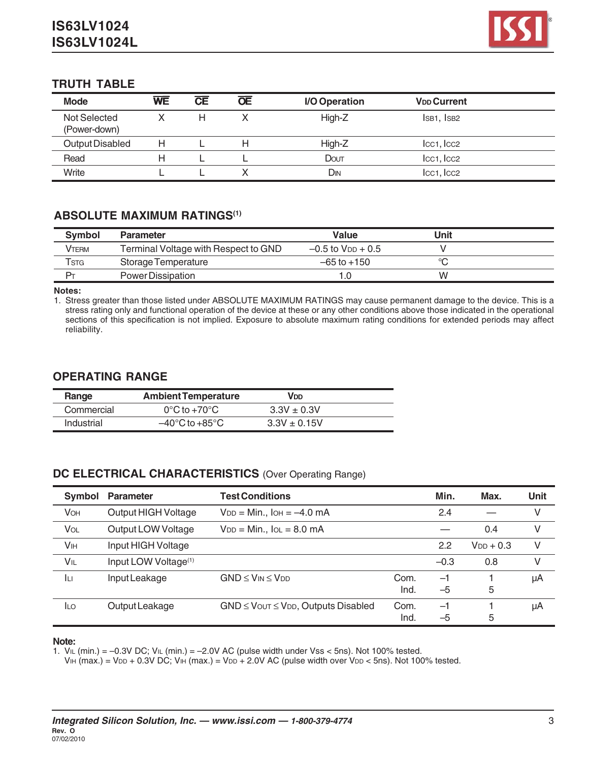

## **TRUTH TABLE**

| <b>Mode</b>                         | WE | <b>CE</b> | <b>OE</b> | I/O Operation | <b>V<sub>DD</sub></b> Current       |  |
|-------------------------------------|----|-----------|-----------|---------------|-------------------------------------|--|
| <b>Not Selected</b><br>(Power-down) |    | H         |           | High-Z        | IsB1, IsB2                          |  |
| Output Disabled                     | н  |           |           | High-Z        | lcc1, lcc2                          |  |
| Read                                | H  |           |           | Dout          | Icc <sub>1</sub> , Icc <sub>2</sub> |  |
| Write                               |    |           |           | Din           | Icc <sub>1</sub> , Icc <sub>2</sub> |  |

#### **ABSOLUTE MAXIMUM RATINGS(1)**

| <b>Symbol</b> | <b>Parameter</b>                     | Value                    | Unit |  |
|---------------|--------------------------------------|--------------------------|------|--|
| Vterm         | Terminal Voltage with Respect to GND | $-0.5$ to $V_{DD} + 0.5$ |      |  |
| Tstg          | Storage Temperature                  | $-65$ to $+150$          | ∽    |  |
| $P_T$         | Power Dissipation                    | .O                       | W    |  |

**Notes:**

1. Stress greater than those listed under ABSOLUTE MAXIMUM RATINGS may cause permanent damage to the device. This is a stress rating only and functional operation of the device at these or any other conditions above those indicated in the operational sections of this specification is not implied. Exposure to absolute maximum rating conditions for extended periods may affect reliability.

## **OPERATING RANGE**

| Range      | <b>Ambient Temperature</b>         | VDD              |  |
|------------|------------------------------------|------------------|--|
| Commercial | $0^{\circ}$ C to +70 $^{\circ}$ C  | $3.3V + 0.3V$    |  |
| Industrial | $-40^{\circ}$ C to $+85^{\circ}$ C | $3.3V \pm 0.15V$ |  |

#### **DC ELECTRICAL CHARACTERISTICS** (Over Operating Range)

| Symbol                | <b>Parameter</b>                 | <b>Test Conditions</b>                         |              | Min.         | Max.           | Unit |
|-----------------------|----------------------------------|------------------------------------------------|--------------|--------------|----------------|------|
| VOH                   | Output HIGH Voltage              | $V_{DD} = Min.,$ $I_{OH} = -4.0$ mA            |              | 2.4          |                | V    |
| VOL                   | Output LOW Voltage               | $V_{DD} = Min., IoL = 8.0 mA$                  |              |              | 0.4            | V    |
| <b>V<sub>IH</sub></b> | Input HIGH Voltage               |                                                |              | 2.2          | $V_{DD}$ + 0.3 | V    |
| VIL                   | Input LOW Voltage <sup>(1)</sup> |                                                |              | $-0.3$       | 0.8            | V    |
| Īц                    | Input Leakage                    | $GND \leq V_{IN} \leq V_{DD}$                  | Com.<br>Ind. | $-1$<br>$-5$ | 5              | μA   |
| <b>ILO</b>            | Output Leakage                   | $GND \leq V$ OUT $\leq VDD$ , Outputs Disabled | Com.<br>Ind. | $-1$<br>$-5$ | 5              | μA   |

#### **Note:**

1.  $V_{IL}$  (min.) = -0.3V DC;  $V_{IL}$  (min.) = -2.0V AC (pulse width under Vss < 5ns). Not 100% tested.

VIH (max.) = VDD + 0.3V DC; VIH (max.) = VDD + 2.0V AC (pulse width over VDD < 5ns). Not 100% tested.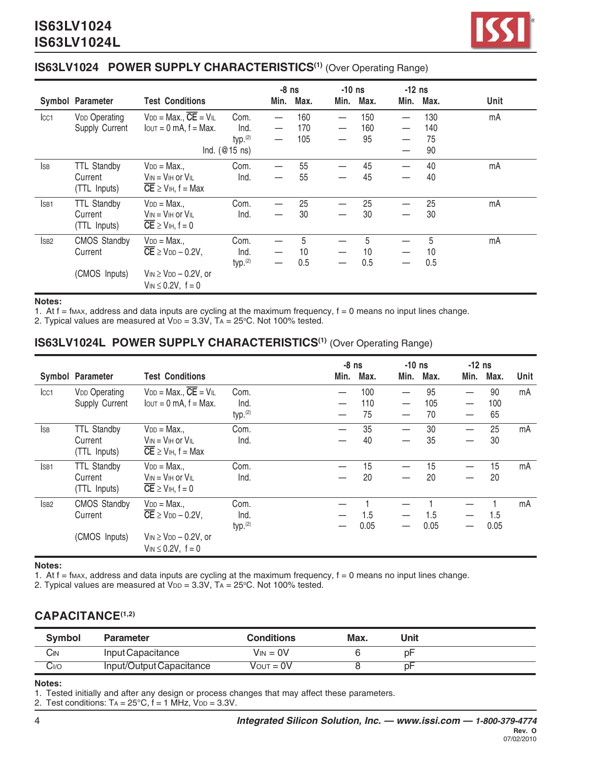#### **IS63LV1024 POWER SUPPLY CHARACTERISTICS<sup>(1)</sup> (Over Operating Range)**

|                  |                      |                                                                 |                     | $-8$ ns                  |      | $-10$ ns |      | $-12$ ns |      |      |
|------------------|----------------------|-----------------------------------------------------------------|---------------------|--------------------------|------|----------|------|----------|------|------|
|                  | Symbol Parameter     | <b>Test Conditions</b>                                          |                     | Min.                     | Max. | Min.     | Max. | Min.     | Max. | Unit |
| Icc1             | <b>VDD Operating</b> | $V_{DD} = Max., \overline{CE} = VIL$                            | Com.                |                          | 160  |          | 150  |          | 130  | mA   |
|                  | Supply Current       | $I$ out = 0 mA, $f$ = Max.                                      | Ind.                |                          | 170  |          | 160  |          | 140  |      |
|                  |                      |                                                                 | typ. <sup>(2)</sup> | $\overline{\phantom{0}}$ | 105  |          | 95   |          | 75   |      |
|                  |                      |                                                                 | Ind. $(@15$ ns)     |                          |      |          |      |          | 90   |      |
| <b>I</b> SB      | <b>TTL Standby</b>   | $V_{DD} = Max.$                                                 | Com.                |                          | 55   |          | 45   |          | 40   | mA   |
|                  | Current              | $V_{IN} = V_{IH}$ or $V_{IL}$                                   | Ind.                |                          | 55   |          | 45   |          | 40   |      |
|                  | (TTL Inputs)         | $\overline{CE}$ $\geq$ V <sub>IH</sub> , f = Max                |                     |                          |      |          |      |          |      |      |
| ISB <sub>1</sub> | <b>TTL Standby</b>   | $V_{DD} = Max.$                                                 | Com.                |                          | 25   |          | 25   |          | 25   | mA   |
|                  | Current              | $V_{IN} = V_{IH}$ or $V_{IL}$                                   | Ind.                |                          | 30   |          | 30   |          | 30   |      |
|                  | (TTL Inputs)         | $\overline{CE}$ $\geq$ V <sub>IH</sub> , f = 0                  |                     |                          |      |          |      |          |      |      |
| <sub>SB2</sub>   | <b>CMOS Standby</b>  | $V_{DD} = Max.$                                                 | Com.                |                          | 5    |          | 5    |          | 5    | mA   |
|                  | Current              | $\overline{\text{CE}} \geq \text{VDD} - 0.2\text{V}$ ,          | Ind.                |                          | 10   |          | 10   |          | 10   |      |
|                  |                      |                                                                 | typ. <sup>(2)</sup> | $\overline{\phantom{0}}$ | 0.5  |          | 0.5  |          | 0.5  |      |
|                  | (CMOS Inputs)        | $V_{IN} \geq V_{DD} - 0.2V$ , or<br>$V_{IN} \le 0.2V$ , $f = 0$ |                     |                          |      |          |      |          |      |      |

#### **Notes:**

1. At  $f = f_{MAX}$ , address and data inputs are cycling at the maximum frequency,  $f = 0$  means no input lines change.

2. Typical values are measured at  $V_{DD} = 3.3V$ ,  $Ta = 25^{\circ}C$ . Not 100% tested.

#### **IS63LV1024L POWER SUPPLY CHARACTERISTICS(1)** (Over Operating Range)

|                  | Symbol Parameter     | <b>Test Conditions</b>                                 |                     | $-8$ ns<br>Min. | Max. | $-10$ ns<br>Min. | Max. | $-12$ ns<br>Min. | Max. | Unit |
|------------------|----------------------|--------------------------------------------------------|---------------------|-----------------|------|------------------|------|------------------|------|------|
| Icc <sub>1</sub> | <b>VDD Operating</b> | $V_{DD} = Max., \overline{CE} = VIL$                   | Com.                |                 | 100  |                  | 95   |                  | 90   | mA   |
|                  | Supply Current       | $I_{\text{OUT}} = 0$ mA, $f = \text{Max}$ .            | Ind.                |                 | 110  |                  | 105  |                  | 100  |      |
|                  |                      |                                                        | typ. <sup>(2)</sup> |                 | 75   |                  | 70   |                  | 65   |      |
| <b>I</b> SB      | <b>TTL Standby</b>   | $V_{DD} = Max.$                                        | Com.                |                 | 35   |                  | 30   |                  | 25   | mA   |
|                  | Current              | $V_{IN} = V_{IH}$ or $V_{IL}$                          | Ind.                |                 | 40   |                  | 35   |                  | 30   |      |
|                  | (TTL Inputs)         | $\overline{CE}$ $\geq$ V <sub>IH</sub> , f = Max       |                     |                 |      |                  |      |                  |      |      |
| ISB <sub>1</sub> | <b>TTL Standby</b>   | $V_{DD} = Max.$                                        | Com.                |                 | 15   |                  | 15   |                  | 15   | mA   |
|                  | Current              | $V_{IN} = V_{IH}$ or $V_{IL}$                          | Ind.                |                 | 20   |                  | 20   |                  | 20   |      |
|                  | (TTL Inputs)         | $\overline{CE}$ $\geq$ V <sub>IH</sub> , f = 0         |                     |                 |      |                  |      |                  |      |      |
| ISB <sub>2</sub> | <b>CMOS Standby</b>  | $V_{DD} = Max.$                                        | Com.                |                 |      |                  |      |                  |      | mA   |
|                  | Current              | $\overline{\text{CE}} \geq \text{VDD} - 0.2\text{V}$ , | Ind.                |                 | 1.5  |                  | 1.5  |                  | 1.5  |      |
|                  |                      |                                                        | typ. <sup>(2)</sup> |                 | 0.05 |                  | 0.05 |                  | 0.05 |      |
|                  | (CMOS Inputs)        | $V_{IN} \geq V_{DD} - 0.2V$ , or                       |                     |                 |      |                  |      |                  |      |      |
|                  |                      | $V_{IN} \le 0.2V$ , $f = 0$                            |                     |                 |      |                  |      |                  |      |      |

#### **Notes:**

1. At  $f = f_{MAX}$ , address and data inputs are cycling at the maximum frequency,  $f = 0$  means no input lines change.

2. Typical values are measured at  $V_{DD}$  = 3.3V, TA = 25°C. Not 100% tested.

## **CAPACITANCE(1,2)**

| <b>Symbol</b> | <b>Parameter</b>         | <b>Conditions</b> | Max. | Unit |  |
|---------------|--------------------------|-------------------|------|------|--|
| Cın           | Input Capacitance        | $V_{IN} = 0V$     |      | p⊦   |  |
| Cı⁄o          | Input/Output Capacitance | $V$ OUT = $0V$    |      | p⊦   |  |

#### **Notes:**

1. Tested initially and after any design or process changes that may affect these parameters.

2. Test conditions:  $Ta = 25^{\circ}C$ ,  $f = 1$  MHz,  $V_{DD} = 3.3V$ .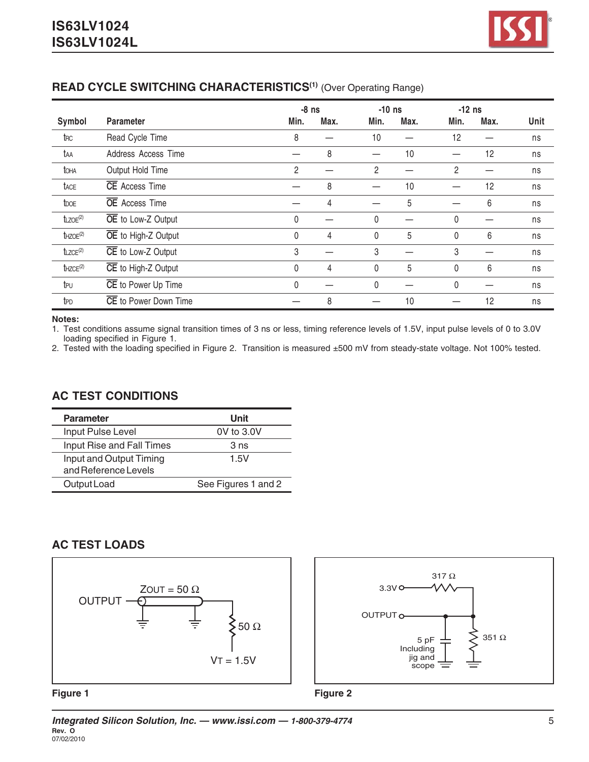## **READ CYCLE SWITCHING CHARACTERISTICS<sup>(1)</sup> (Over Operating Range)**

|                           |                              |      | $-8$ ns |              | $-10$ ns |              | $-12$ ns |      |
|---------------------------|------------------------------|------|---------|--------------|----------|--------------|----------|------|
| Symbol                    | <b>Parameter</b>             | Min. | Max.    | Min.         | Max.     | Min.         | Max.     | Unit |
| trc                       | Read Cycle Time              | 8    |         | 10           |          | 12           |          | ns   |
| taa                       | Address Access Time          |      | 8       |              | 10       |              | 12       | ns   |
| toha                      | Output Hold Time             | 2    |         | 2            |          | 2            |          | ns   |
| tace                      | <b>CE</b> Access Time        |      | 8       |              | 10       |              | 12       | ns   |
| t <sub>DOE</sub>          | <b>OE</b> Access Time        |      | 4       |              | 5        |              | 6        | ns   |
| $t_{LZOE}$ <sup>(2)</sup> | OE to Low-Z Output           | 0    |         | 0            |          | 0            |          | ns   |
| $t$ HZOE <sup>(2)</sup>   | OE to High-Z Output          | 0    | 4       | $\mathbf{0}$ | 5        | 0            | 6        | ns   |
| $t$ LZCE $(2)$            | CE to Low-Z Output           | 3    |         | 3            |          | 3            |          | ns   |
| $t$ HZCE $(2)$            | CE to High-Z Output          | 0    | 4       | $\mathbf{0}$ | 5        | 0            | 6        | ns   |
| tpu                       | CE to Power Up Time          | 0    |         | $\mathbf{0}$ |          | $\mathbf{0}$ |          | ns   |
| t <sub>PD</sub>           | <b>CE</b> to Power Down Time |      | 8       |              | 10       |              | 12       | ns   |

**Notes:**

1. Test conditions assume signal transition times of 3 ns or less, timing reference levels of 1.5V, input pulse levels of 0 to 3.0V loading specified in Figure 1.

2. Tested with the loading specified in Figure 2. Transition is measured ±500 mV from steady-state voltage. Not 100% tested.

# **AC TEST CONDITIONS**

| <b>Parameter</b>                                | Unit                |
|-------------------------------------------------|---------------------|
| Input Pulse Level                               | 0V to 3.0V          |
| Input Rise and Fall Times                       | 3 <sub>ns</sub>     |
| Input and Output Timing<br>and Reference Levels | 1.5V                |
| Output Load                                     | See Figures 1 and 2 |

## **AC TEST LOADS**





#### **Figure 1**

**Figure 2**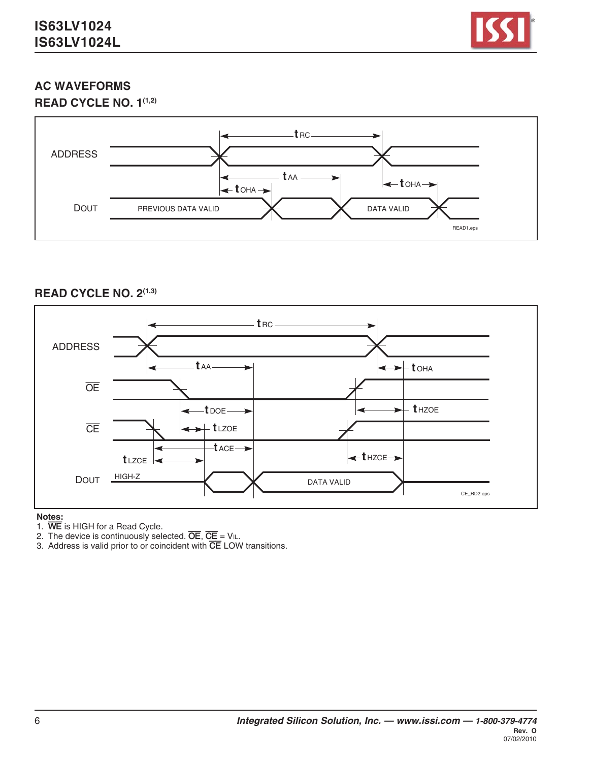

# **AC WAVEFORMS**





#### **READ CYCLE NO. 2(1,3)**



#### **Notes:**

- 1. **WE** is HIGH for a Read Cycle.
- 2. The device is continuously selected. **OE**, **CE** = VIL.
- 3. Address is valid prior to or coincident with **CE** LOW transitions.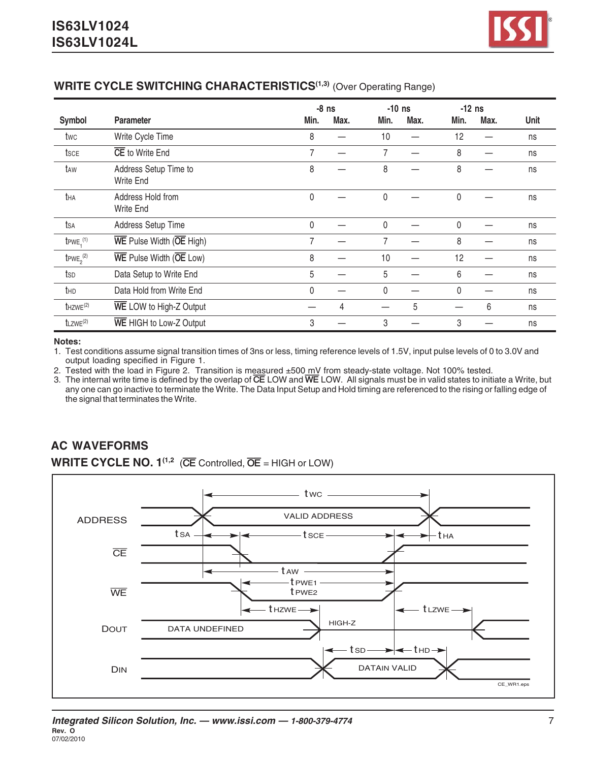#### **WRITE CYCLE SWITCHING CHARACTERISTICS<sup>(1,3)</sup> (Over Operating Range)**

|                            |                                                                  |                | $-8$ ns | $-10$ ns     |      | $-12$ ns     |      |      |
|----------------------------|------------------------------------------------------------------|----------------|---------|--------------|------|--------------|------|------|
| <b>Symbol</b>              | <b>Parameter</b>                                                 | Min.           | Max.    | Min.         | Max. | Min.         | Max. | Unit |
| twc                        | Write Cycle Time                                                 | 8              |         | 10           |      | 12           |      | ns   |
| tsce                       | CE to Write End                                                  | 7              |         | 7            |      | 8            |      | ns   |
| taw                        | Address Setup Time to<br><b>Write End</b>                        | 8              |         | 8            |      | 8            |      | ns   |
| tha                        | Address Hold from<br><b>Write End</b>                            | 0              |         | $\mathbf{0}$ |      | 0            |      | ns   |
| tsa                        | Address Setup Time                                               | 0              |         | 0            |      | 0            |      | ns   |
| $t$ PWE <sub>1</sub> $(1)$ | WE Pulse Width (OE High)                                         | $\overline{7}$ |         | 7            |      | 8            |      | ns   |
| $t_{PWE_2}^{(2)}$          | $\overline{\text{WE}}$ Pulse Width ( $\overline{\text{OE}}$ Low) | 8              |         | 10           |      | 12           |      | ns   |
| tsp                        | Data Setup to Write End                                          | 5              |         | 5            |      | 6            |      | ns   |
| thd                        | Data Hold from Write End                                         | $\mathbf{0}$   |         | 0            |      | $\mathbf{0}$ |      | ns   |
| $t$ HZWE $(2)$             | WE LOW to High-Z Output                                          |                | 4       |              | 5    |              | 6    | ns   |
| $t$ LZWE $(2)$             | WE HIGH to Low-Z Output                                          | 3              |         | 3            |      | 3            |      | ns   |

#### **Notes:**

1. Test conditions assume signal transition times of 3ns or less, timing reference levels of 1.5V, input pulse levels of 0 to 3.0V and output loading specified in Figure 1.

2. Tested with the load in Figure 2. Transition is measured ±500 mV from steady-state voltage. Not 100% tested.

3. The internal write time is defined by the overlap of **CE** LOW and **WE** LOW. All signals must be in valid states to initiate a Write, but any one can go inactive to terminate the Write. The Data Input Setup and Hold timing are referenced to the rising or falling edge of the signal that terminates the Write.

# **AC WAVEFORMS**

**WRITE CYCLE NO. 1<sup>(1,2</sup> (CE** Controlled,  $\overline{OE}$  = HIGH or LOW)

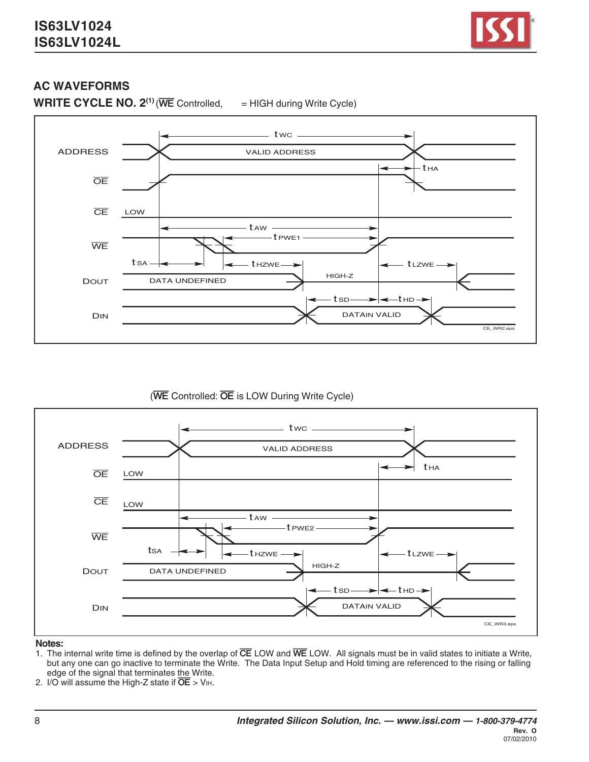

## **AC WAVEFORMS**

**WRITE CYCLE NO. 2<sup>(1)</sup>** (WE Controlled, = HIGH during Write Cycle)







#### **Notes:**

- 1. The internal write time is defined by the overlap of **CE** LOW and **WE** LOW. All signals must be in valid states to initiate a Write, but any one can go inactive to terminate the Write. The Data Input Setup and Hold timing are referenced to the rising or falling edge of the signal that terminates the Write.
- 2.  $I/O$  will assume the High-Z state if  $\overline{OE}$  > V<sub>IH</sub>.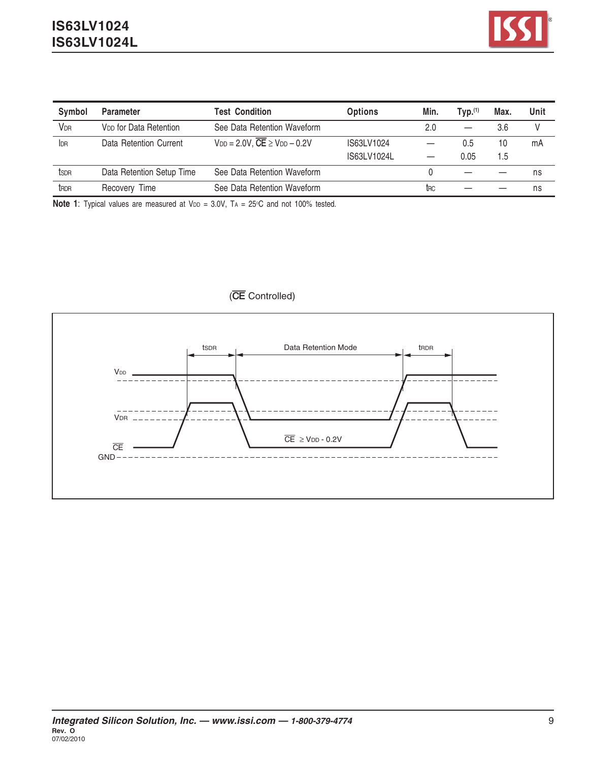

| Symbol       | <b>Parameter</b>                   | <b>Test Condition</b>                                  | <b>Options</b> | Min.                   | $TVD.$ <sup>(1)</sup> | Max. | Unit |
|--------------|------------------------------------|--------------------------------------------------------|----------------|------------------------|-----------------------|------|------|
| <b>VDR</b>   | V <sub>DD</sub> for Data Retention | See Data Retention Waveform                            |                | 2.0                    |                       | 3.6  | V    |
| IDR          | Data Retention Current             | $V_{DD} = 2.0 V$ , $\overline{CE} \geq V_{DD} - 0.2 V$ | IS63LV1024     |                        | 0.5                   | 10   | mA   |
|              |                                    |                                                        | IS63LV1024L    |                        | 0.05                  | l.5  |      |
| tsdr         | Data Retention Setup Time          | See Data Retention Waveform                            |                |                        |                       |      | ns   |
| <b>t</b> RDR | Recovery Time                      | See Data Retention Waveform                            |                | <b>t</b> <sub>RC</sub> |                       |      | ns   |

**Note 1**: Typical values are measured at VDD = 3.0V, TA = 25°C and not 100% tested.

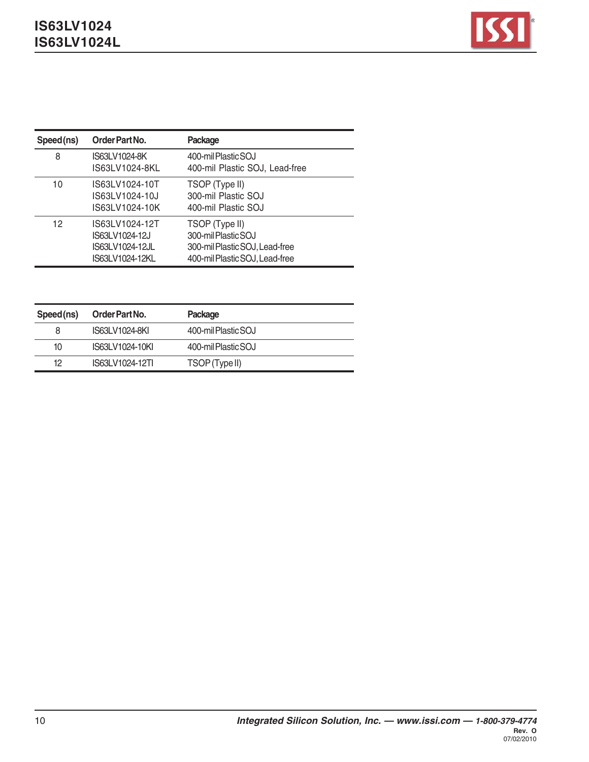

| Speed(ns) | Order Part No.                                                         | Package                                                                                                   |
|-----------|------------------------------------------------------------------------|-----------------------------------------------------------------------------------------------------------|
| 8         | IS63LV1024-8K<br>IS63LV1024-8KL                                        | 400-mil Plastic SOJ<br>400-mil Plastic SOJ, Lead-free                                                     |
| 10        | IS63LV1024-10T<br>IS63LV1024-10J<br>IS63LV1024-10K                     | TSOP (Type II)<br>300-mil Plastic SOJ<br>400-mil Plastic SOJ                                              |
| 12        | IS63LV1024-12T<br>IS63LV1024-12J<br>IS63LV1024-12JL<br>IS63LV1024-12KL | TSOP (Type II)<br>300-mil Plastic SOJ<br>300-mil Plastic SOJ, Lead-free<br>400-mil Plastic SOJ, Lead-free |

| Speed(ns) | Order Part No.  | Package             |
|-----------|-----------------|---------------------|
| 8         | IS63LV1024-8KI  | 400-mil Plastic SOJ |
| 10        | IS63LV1024-10KI | 400-mil Plastic SOJ |
| 12        | IS63LV1024-12TI | TSOP (Type II)      |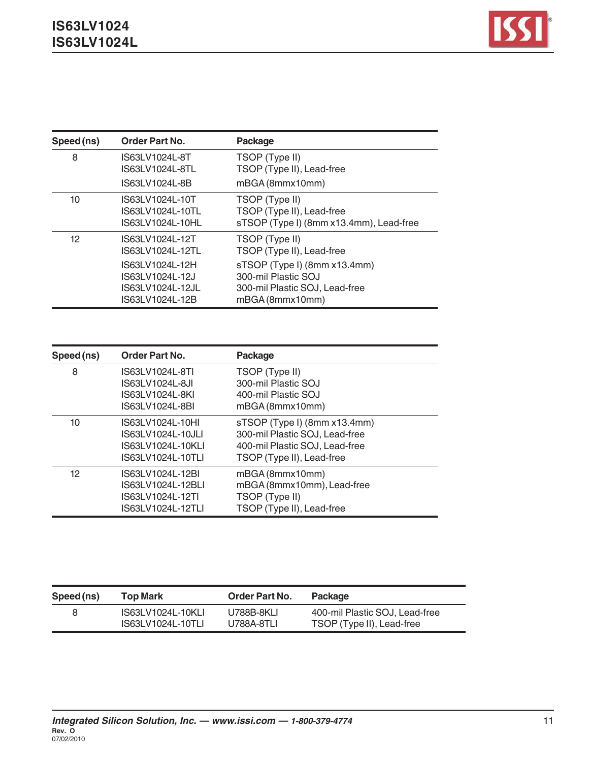| Speed (ns) | <b>Order Part No.</b>                                                     | Package                                                                                                  |
|------------|---------------------------------------------------------------------------|----------------------------------------------------------------------------------------------------------|
| 8          | IS63LV1024L-8T<br>IS63LV1024L-8TL<br>IS63LV1024L-8B                       | TSOP (Type II)<br>TSOP (Type II), Lead-free<br>mBGA (8mmx10mm)                                           |
| 10         | IS63LV1024L-10T<br>IS63LV1024L-10TL<br>IS63LV1024L-10HL                   | TSOP (Type II)<br>TSOP (Type II), Lead-free<br>sTSOP (Type I) (8mm x13.4mm), Lead-free                   |
| 12         | IS63LV1024L-12T<br>IS63LV1024L-12TL                                       | TSOP (Type II)<br>TSOP (Type II), Lead-free                                                              |
|            | IS63LV1024L-12H<br>IS63LV1024L-12J<br>IS63LV1024L-12JL<br>IS63LV1024L-12B | sTSOP (Type I) (8mm x13.4mm)<br>300-mil Plastic SOJ<br>300-mil Plastic SOJ, Lead-free<br>mBGA (8mmx10mm) |

| Speed (ns) | <b>Order Part No.</b>                                                           | Package                                                                                                                       |
|------------|---------------------------------------------------------------------------------|-------------------------------------------------------------------------------------------------------------------------------|
| 8          | IS63LV1024L-8TI<br>IS63LV1024L-8JI<br>IS63LV1024L-8KI<br>IS63LV1024L-8BI        | TSOP (Type II)<br>300-mil Plastic SOJ<br>400-mil Plastic SOJ<br>mBGA (8mmx10mm)                                               |
| 10         | IS63LV1024L-10HI<br>IS63LV1024L-10JLI<br>IS63LV1024L-10KLI<br>IS63LV1024L-10TLI | sTSOP (Type I) (8mm x13.4mm)<br>300-mil Plastic SOJ, Lead-free<br>400-mil Plastic SOJ, Lead-free<br>TSOP (Type II), Lead-free |
| 12         | IS63LV1024L-12BI<br>IS63LV1024L-12BLI<br>IS63LV1024L-12TI<br>IS63LV1024L-12TLI  | mBGA (8mmx10mm)<br>mBGA (8mmx10mm), Lead-free<br>TSOP (Type II)<br>TSOP (Type II), Lead-free                                  |

| Speed (ns) | Top Mark          | <b>Order Part No.</b> | Package                        |
|------------|-------------------|-----------------------|--------------------------------|
| 8          | IS63LV1024L-10KLI | U788B-8KLI            | 400-mil Plastic SOJ. Lead-free |
|            | IS63LV1024L-10TLI | U788A-8TLI            | TSOP (Type II), Lead-free      |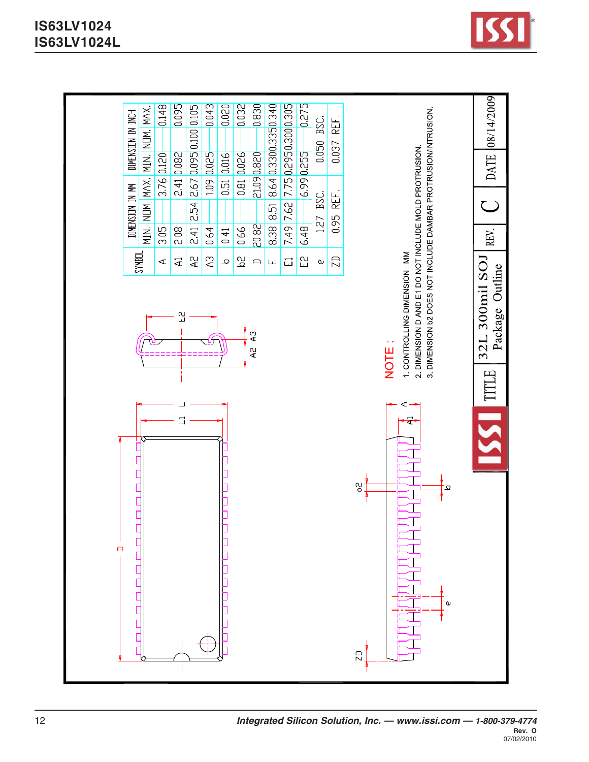

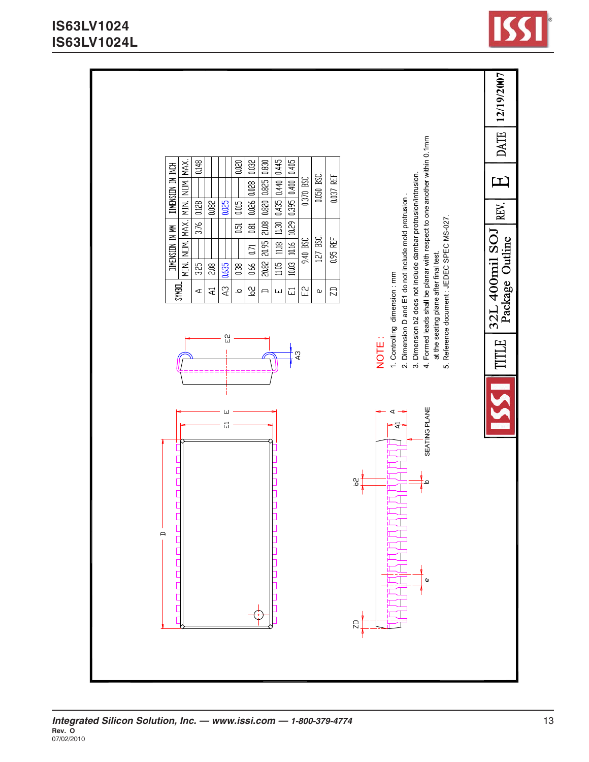

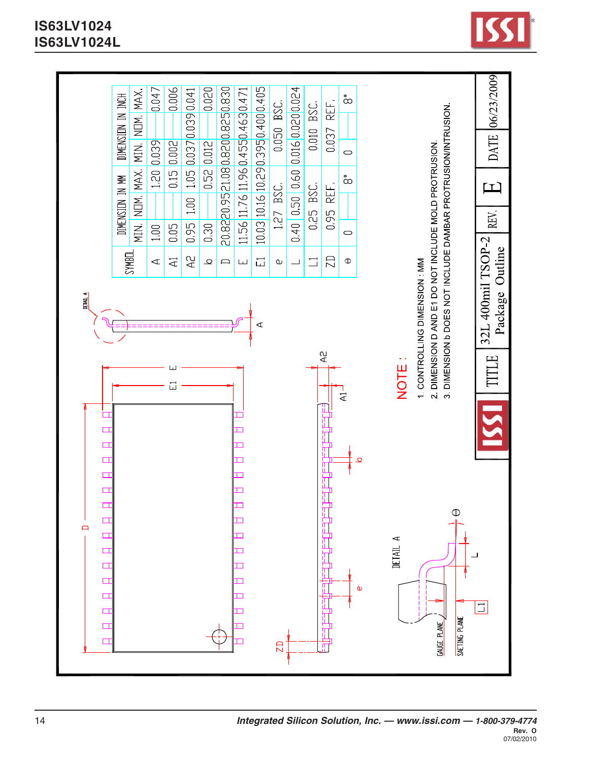

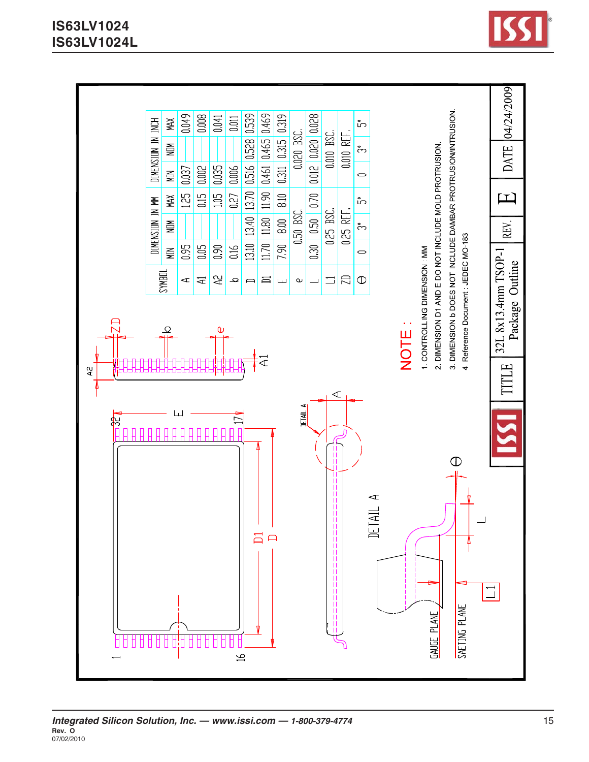